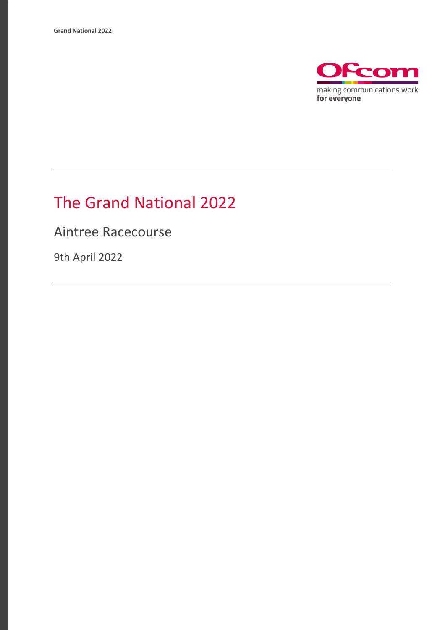

## The Grand National 2022

Aintree Racecourse

9th April 2022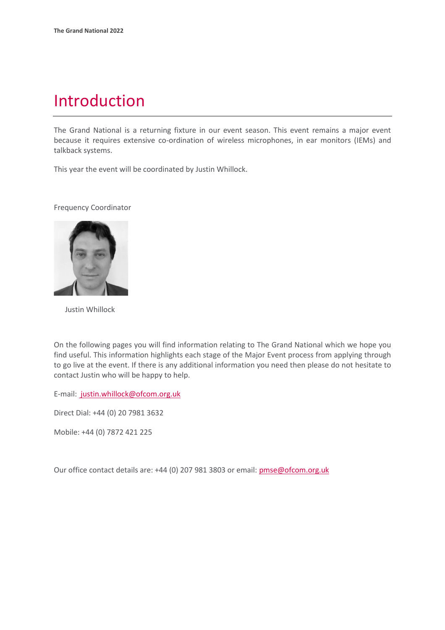### Introduction

The Grand National is a returning fixture in our event season. This event remains a major event because it requires extensive co-ordination of wireless microphones, in ear monitors (IEMs) and talkback systems.

This year the event will be coordinated by Justin Whillock.

Frequency Coordinator



Justin Whillock

On the following pages you will find information relating to The Grand National which we hope you find useful. This information highlights each stage of the Major Event process from applying through to go live at the event. If there is any additional information you need then please do not hesitate to contact Justin who will be happy to help.

E-mail: [justin.whillock@ofcom.org.uk](mailto:%20justin.whillock@ofcom.org.uk)

Direct Dial: +44 (0) 20 7981 3632

Mobile: +44 (0) 7872 421 225

Our office contact details are: +44 (0) 207 981 3803 or email: pmse@ofcom.org.uk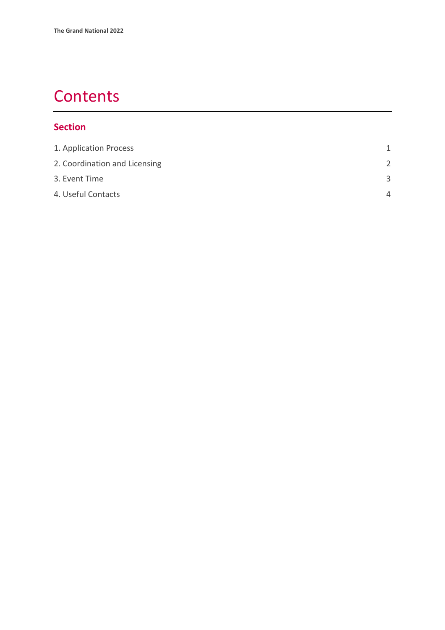## **Contents**

#### **Section**

| 1. Application Process        | 1             |
|-------------------------------|---------------|
| 2. Coordination and Licensing | $\mathcal{P}$ |
| 3. Event Time                 | $\mathbf{R}$  |
| 4. Useful Contacts            | Δ             |
|                               |               |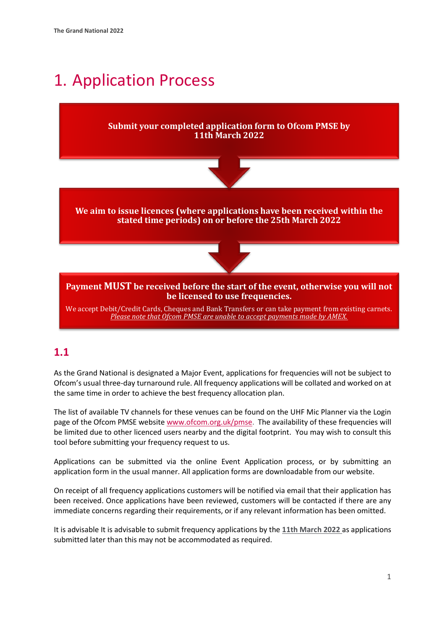## <span id="page-3-0"></span>1. Application Process

#### **Submit your completed application form to Ofcom PMSE by 11th March 2022**



**We aim to issue licences (where applications have been received within the stated time periods) on or before the 25th March 2022**



**Payment MUST be received before the start of the event, otherwise you will not be licensed to use frequencies.**

We accept Debit/Credit Cards, Cheques and Bank Transfers or can take payment from existing carnets. *Please note that Ofcom PMSE are unable to accept payments made by AMEX.*

#### **1.1**

As the Grand National is designated a Major Event, applications for frequencies will not be subject to Ofcom's usual three-day turnaround rule. All frequency applications will be collated and worked on at the same time in order to achieve the best frequency allocation plan.

The list of available TV channels for these venues can be found on the UHF Mic Planner via the Login page of the Ofcom PMSE website [www.ofcom.org.uk/pmse.](http://www.ofcom.org.uk/pmse) The availability of these frequencies will be limited due to other licenced users nearby and the digital footprint. You may wish to consult this tool before submitting your frequency request to us.

Applications can be submitted via the online Event Application process, or by submitting an application form in the usual manner. All application forms are downloadable from our website.

On receipt of all frequency applications customers will be notified via email that their application has been received. Once applications have been reviewed, customers will be contacted if there are any immediate concerns regarding their requirements, or if any relevant information has been omitted.

It is advisable It is advisable to submit frequency applications by the **11th March 2022** as applications submitted later than this may not be accommodated as required.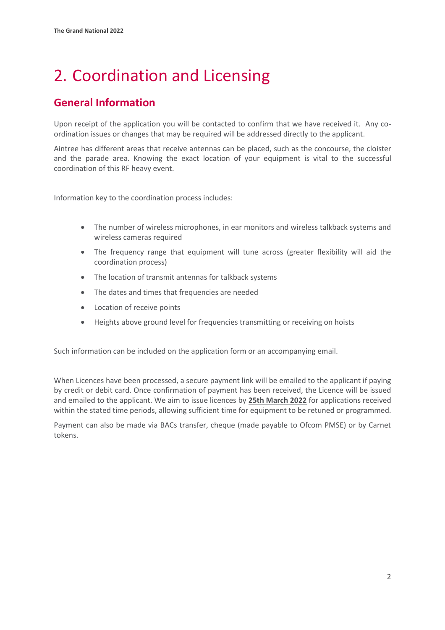# <span id="page-4-0"></span>2. Coordination and Licensing

### **General Information**

Upon receipt of the application you will be contacted to confirm that we have received it. Any coordination issues or changes that may be required will be addressed directly to the applicant.

Aintree has different areas that receive antennas can be placed, such as the concourse, the cloister and the parade area. Knowing the exact location of your equipment is vital to the successful coordination of this RF heavy event.

Information key to the coordination process includes:

- The number of wireless microphones, in ear monitors and wireless talkback systems and wireless cameras required
- The frequency range that equipment will tune across (greater flexibility will aid the coordination process)
- The location of transmit antennas for talkback systems
- The dates and times that frequencies are needed
- Location of receive points
- Heights above ground level for frequencies transmitting or receiving on hoists

Such information can be included on the application form or an accompanying email.

When Licences have been processed, a secure payment link will be emailed to the applicant if paying by credit or debit card. Once confirmation of payment has been received, the Licence will be issued and emailed to the applicant. We aim to issue licences by **25th March 2022** for applications received within the stated time periods, allowing sufficient time for equipment to be retuned or programmed.

Payment can also be made via BACs transfer, cheque (made payable to Ofcom PMSE) or by Carnet tokens.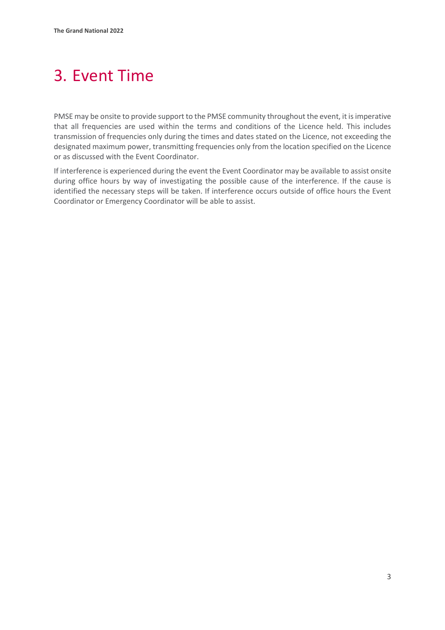# <span id="page-5-0"></span>3. Event Time

PMSE may be onsite to provide support to the PMSE community throughout the event, it is imperative that all frequencies are used within the terms and conditions of the Licence held. This includes transmission of frequencies only during the times and dates stated on the Licence, not exceeding the designated maximum power, transmitting frequencies only from the location specified on the Licence or as discussed with the Event Coordinator.

If interference is experienced during the event the Event Coordinator may be available to assist onsite during office hours by way of investigating the possible cause of the interference. If the cause is identified the necessary steps will be taken. If interference occurs outside of office hours the Event Coordinator or Emergency Coordinator will be able to assist.